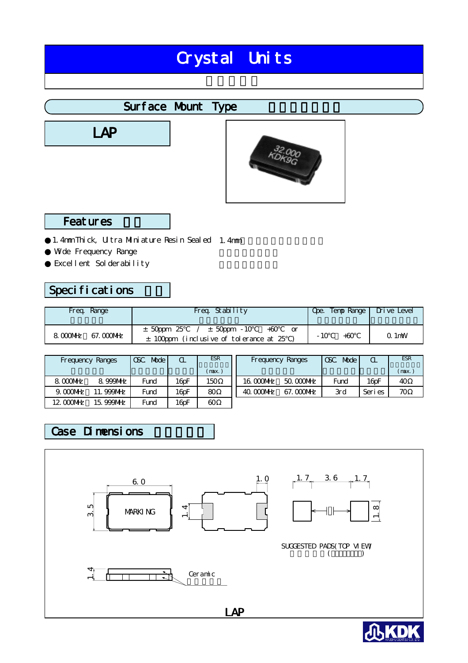# Crystal Units

# Surface Mount Type

**LAP** 



## **Features**

1.4mm Thick, Ultra Miniature Resin Sealed 1.4mm Wde Frequency Range Excellent Solderability

# Specifications

| Freq. Range | Freq. Stability                            | Ope. Temp Range   Drive Level |         |
|-------------|--------------------------------------------|-------------------------------|---------|
| 8.000MHz    | $\pm$ 50ppm 25 / $\pm$ 50ppm -10 +60       | - 10                          | $Q1$ mW |
| 67. COONHZ  | $\pm$ 100ppm (inclusive of tolerance at 25 | $+60$                         |         |

| Frequency Ranges |                     | Mode<br><b>CSC</b> | α                | <b>ESR</b> | Frequency Ranges |            | CSC<br>Mode | $\alpha$            | <b>ESR</b> |
|------------------|---------------------|--------------------|------------------|------------|------------------|------------|-------------|---------------------|------------|
|                  |                     |                    |                  | (max.)     |                  |            |             |                     | (max.      |
| 8.000MHz         | 8.999MHz            | Fund               | 16 <sub>pF</sub> | 150        | 16.000MHz        | 50.000MHz  | Fund        | $16$ <sub>D</sub> F | 40         |
| $9.000$ MHz      | <b>999NHz</b><br>11 | Fund               | 16 <sub>pF</sub> | 80         | 40. COONHz       | 67. COONHz | 3rd         | Seri es             | 70         |
| 12.0000MHz       | 15.999MHz           | Fund               | 16 <sub>pF</sub> | 60         |                  |            |             |                     |            |

## Case Dimensions